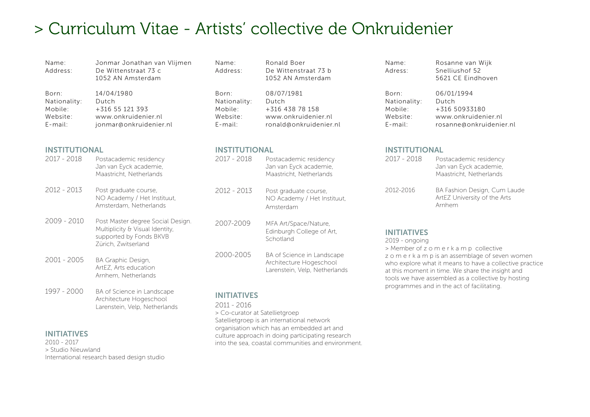# > Curriculum Vitae - Artists' collective de Onkruidenier

| Name:<br>Address:                                          | Jonmar Jonathan van Vlijmen<br>De Wittenstraat 73 c<br>1052 AN Amsterdam                                               | Name:<br>Address:                                          | Ronald Boer<br>De Wittenstraat 73 b<br>1052 AN Amsterdam                                | Name:<br>Adress:                                                                                                   |
|------------------------------------------------------------|------------------------------------------------------------------------------------------------------------------------|------------------------------------------------------------|-----------------------------------------------------------------------------------------|--------------------------------------------------------------------------------------------------------------------|
| Born:<br>Nationality:<br>Mobile:<br>Website:<br>$E$ -mail: | 14/04/1980<br>Dutch<br>+316 55 121 393<br>www.onkruidenier.nl<br>jonmar@onkruidenier.nl                                | Born:<br>Nationality:<br>Mobile:<br>Website:<br>$E$ -mail: | 08/07/1981<br>Dutch<br>+316 438 78 158<br>www.onkruidenier.nl<br>ronald@onkruidenier.nl | Born:<br>Nationality<br>Mobile:<br>Website:<br>$E$ -mail:                                                          |
| <b>INSTITUTIONAL</b><br>2017 - 2018                        | Postacademic residency<br>Jan van Eyck academie,<br>Maastricht, Netherlands                                            | <b>INSTITUTIONAL</b><br>2017 - 2018                        | Postacademic residency<br>Jan van Eyck academie,<br>Maastricht, Netherlands             | <b>INSTITUT</b><br>$2017 - 201$                                                                                    |
| 2012 - 2013                                                | Post graduate course,<br>NO Academy / Het Instituut,<br>Amsterdam, Netherlands                                         | 2012 - 2013                                                | Post graduate course,<br>NO Academy / Het Instituut,<br>Amsterdam                       | 2012-2016                                                                                                          |
| $2009 - 2010$                                              | Post Master degree Social Design.<br>Multiplicity & Visual Identity,<br>supported by Fonds BKVB<br>Zürich, Zwitserland | 2007-2009                                                  | MFA Art/Space/Nature,<br>Edinburgh College of Art,<br>Schotland                         | <b>INITIATIV</b><br>$2019$ - ongo<br>> Member o<br>zomerk<br>who explor<br>at this mom<br>tools we ha<br>programme |
| $2001 - 2005$                                              | BA Graphic Design,<br>ArtEZ, Arts education<br>Arnhem, Netherlands                                                     | 2000-2005                                                  | BA of Science in Landscape<br>Architecture Hogeschool<br>Larenstein, Velp, Netherlands  |                                                                                                                    |
| 1997 - 2000                                                | BA of Science in Landscape<br>Architecture Hogeschool<br>Larenstein, Velp, Netherlands                                 | <b>INITIATIVES</b><br>2011 - 2016                          |                                                                                         |                                                                                                                    |

# INITIATIVES

2010 - 2017 > Studio Nieuwland International research based design studio > Co-curator at Satellietgroep Satellietgroep is an international network organisation which has an embedded art and culture approach in doing participating research into the sea, coastal communities and environment.

| Name:   | Rosanne van Wijk  |
|---------|-------------------|
| Adress: | Snelliushof 52    |
|         | 5621 CE Eindhoven |
|         |                   |

| Born:        | 06/01/1994              |
|--------------|-------------------------|
| Nationality: | Dutch                   |
| Mobile:      | +316 50933180           |
| Website:     | www.onkruidenier.nl     |
| E-mail:      | rosanne@onkruidenier.nl |
|              |                         |

# **TIONAL**

| $2017 - 2018$ | Postacademic residency<br>Jan van Eyck academie,<br>Maastricht, Netherlands |
|---------------|-----------------------------------------------------------------------------|
| 2012-2016     | BA Fashion Design, Cum Laude<br>ArtEZ University of the Arts<br>Arnhem      |

# **IES**

oing of z o m e r k a m p collective a m p is an assemblage of seven women re what it means to have a collective practice hent in time. We share the insight and ave assembled as a collective by hosting es and in the act of facilitating.